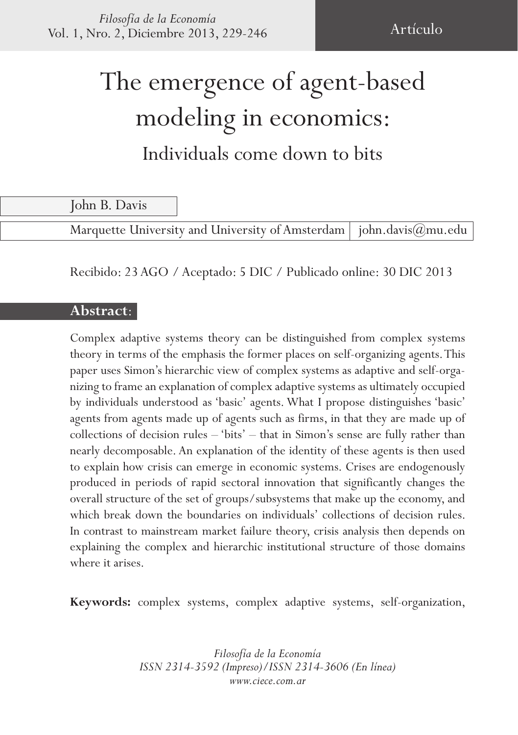# The emergence of agent-based modeling in economics: Individuals come down to bits

John B. Davis

Marquette University and University of Amsterdam | john.davis $(\partial_\mu m u.e_{\mu})$ 

Recibido: 23 AGO / Aceptado: 5 DIC / Publicado online: 30 DIC 2013

#### **Abstract**:

Complex adaptive systems theory can be distinguished from complex systems theory in terms of the emphasis the former places on self-organizing agents. This paper uses Simon's hierarchic view of complex systems as adaptive and self-organizing to frame an explanation of complex adaptive systems as ultimately occupied by individuals understood as 'basic' agents. What I propose distinguishes 'basic' agents from agents made up of agents such as firms, in that they are made up of collections of decision rules – 'bits' – that in Simon's sense are fully rather than nearly decomposable. An explanation of the identity of these agents is then used to explain how crisis can emerge in economic systems. Crises are endogenously produced in periods of rapid sectoral innovation that significantly changes the overall structure of the set of groups/subsystems that make up the economy, and which break down the boundaries on individuals' collections of decision rules. In contrast to mainstream market failure theory, crisis analysis then depends on explaining the complex and hierarchic institutional structure of those domains where it arises.

**Keywords:** complex systems, complex adaptive systems, self-organization,

*Filosofía de la Economía ISSN 2314-3592 (Impreso)/ISSN 2314-3606 (En línea) www.ciece.com.ar*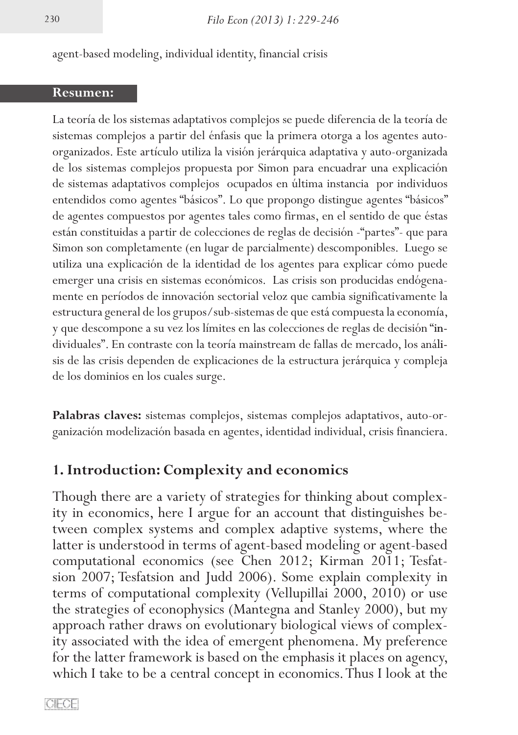agent-based modeling, individual identity, financial crisis

#### **Resumen:**

La teoría de los sistemas adaptativos complejos se puede diferencia de la teoría de sistemas complejos a partir del énfasis que la primera otorga a los agentes autoorganizados. Este artículo utiliza la visión jerárquica adaptativa y auto-organizada de los sistemas complejos propuesta por Simon para encuadrar una explicación de sistemas adaptativos complejos ocupados en última instancia por individuos entendidos como agentes "básicos". Lo que propongo distingue agentes "básicos" de agentes compuestos por agentes tales como firmas, en el sentido de que éstas están constituidas a partir de colecciones de reglas de decisión -"partes"- que para Simon son completamente (en lugar de parcialmente) descomponibles. Luego se utiliza una explicación de la identidad de los agentes para explicar cómo puede emerger una crisis en sistemas económicos. Las crisis son producidas endógenamente en períodos de innovación sectorial veloz que cambia significativamente la estructura general de los grupos/sub-sistemas de que está compuesta la economía, y que descompone a su vez los límites en las colecciones de reglas de decisión "individuales". En contraste con la teoría mainstream de fallas de mercado, los análisis de las crisis dependen de explicaciones de la estructura jerárquica y compleja de los dominios en los cuales surge.

**Palabras claves:** sistemas complejos, sistemas complejos adaptativos, auto-organización modelización basada en agentes, identidad individual, crisis financiera.

### **1. Introduction: Complexity and economics**

Though there are a variety of strategies for thinking about complexity in economics, here I argue for an account that distinguishes between complex systems and complex adaptive systems, where the latter is understood in terms of agent-based modeling or agent-based computational economics (see Chen 2012; Kirman 2011; Tesfat- sion 2007; Tesfatsion and Judd 2006). Some explain complexity in terms of computational complexity (Vellupillai 2000, 2010) or use the strategies of econophysics (Mantegna and Stanley 2000), but my approach rather draws on evolutionary biological views of complexity associated with the idea of emergent phenomena. My preference for the latter framework is based on the emphasis it places on agency, which I take to be a central concept in economics. Thus I look at the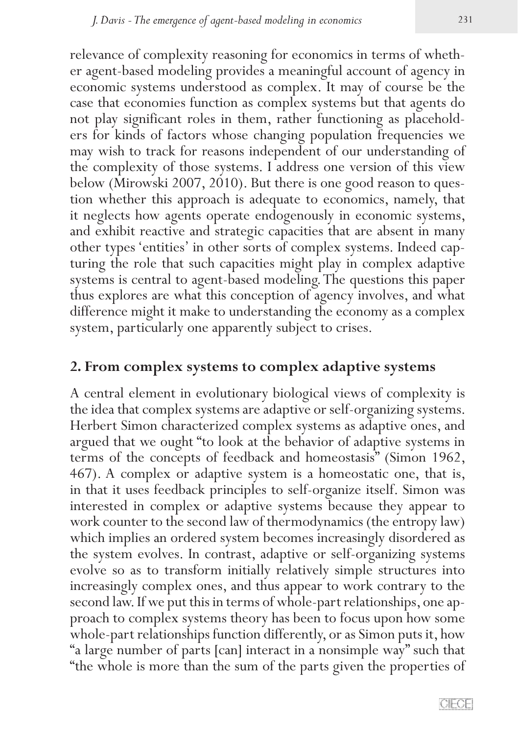relevance of complexity reasoning for economics in terms of whether agent-based modeling provides a meaningful account of agency in economic systems understood as complex. It may of course be the case that economies function as complex systems but that agents do not play significant roles in them, rather functioning as placeholders for kinds of factors whose changing population frequencies we may wish to track for reasons independent of our understanding of the complexity of those systems. I address one version of this view below (Mirowski 2007, 2010). But there is one good reason to question whether this approach is adequate to economics, namely, that it neglects how agents operate endogenously in economic systems, and exhibit reactive and strategic capacities that are absent in many other types 'entities' in other sorts of complex systems. Indeed cap- turing the role that such capacities might play in complex adaptive systems is central to agent-based modeling. The questions this paper thus explores are what this conception of agency involves, and what difference might it make to understanding the economy as a complex system, particularly one apparently subject to crises.

# **2. From complex systems to complex adaptive systems**

A central element in evolutionary biological views of complexity is the idea that complex systems are adaptive or self-organizing systems. Herbert Simon characterized complex systems as adaptive ones, and argued that we ought "to look at the behavior of adaptive systems in terms of the concepts of feedback and homeostasis" (Simon 1962, 467). A complex or adaptive system is a homeostatic one, that is, in that it uses feedback principles to self-organize itself. Simon was interested in complex or adaptive systems because they appear to work counter to the second law of thermodynamics (the entropy law) which implies an ordered system becomes increasingly disordered as the system evolves. In contrast, adaptive or self-organizing systems evolve so as to transform initially relatively simple structures into increasingly complex ones, and thus appear to work contrary to the second law. If we put this in terms of whole-part relationships, one ap- proach to complex systems theory has been to focus upon how some whole-part relationships function differently, or as Simon puts it, how "a large number of parts [can] interact in a nonsimple way" such that "the whole is more than the sum of the parts given the properties of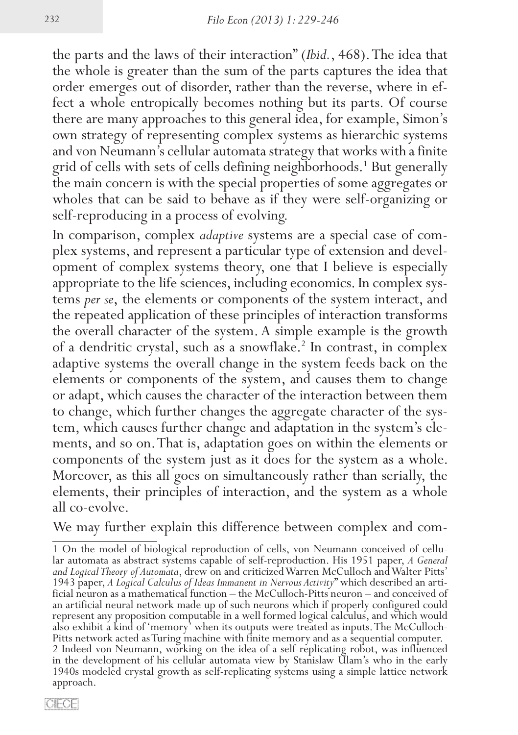the parts and the laws of their interaction" (*Ibid.*, 468). The idea that the whole is greater than the sum of the parts captures the idea that order emerges out of disorder, rather than the reverse, where in effect a whole entropically becomes nothing but its parts. Of course there are many approaches to this general idea, for example, Simon's own strategy of representing complex systems as hierarchic systems and von Neumann's cellular automata strategy that works with a finite grid of cells with sets of cells defining neighborhoods.<sup>1</sup> But generally the main concern is with the special properties of some aggregates or wholes that can be said to behave as if they were self-organizing or self-reproducing in a process of evolving.

In comparison, complex *adaptive* systems are a special case of complex systems, and represent a particular type of extension and development of complex systems theory, one that I believe is especially appropriate to the life sciences, including economics. In complex sys- tems *per se*, the elements or components of the system interact, and the repeated application of these principles of interaction transforms the overall character of the system. A simple example is the growth of a dendritic crystal, such as a snowflake.<sup>2</sup> In contrast, in complex adaptive systems the overall change in the system feeds back on the elements or components of the system, and causes them to change or adapt, which causes the character of the interaction between them to change, which further changes the aggregate character of the system, which causes further change and adaptation in the system's elements, and so on. That is, adaptation goes on within the elements or components of the system just as it does for the system as a whole. Moreover, as this all goes on simultaneously rather than serially, the elements, their principles of interaction, and the system as a whole all co-evolve.

We may further explain this difference between complex and com-

<sup>1</sup> On the model of biological reproduction of cells, von Neumann conceived of cellu- lar automata as abstract systems capable of self-reproduction. His 1951 paper, *A General*  and Logical Theory of Automata, drew on and criticized Warren McCulloch and Walter Pitts'<br>1943 paper, A Logical Calculus of Ideas Immanent in Nervous Activity" which described an artificial neuron as a mathematical function – the McCulloch-Pitts neuron – and conceived of an artificial neural network made up of such neurons which if properly configured could represent any proposition computable in a well formed logical calculus, and which would also exhibit a kind of 'memory' when its outputs were treated as inputs. The McCulloch-Pitts network acted as Turing machine with finite memory and as a sequential computer. 2 Indeed von Neumann, working on the idea of a self-replicating robot, was influenced in the development of his cellular automata view by Stanislaw Ulam's who in the early 1940s modeled crystal growth as self-replicating systems using a simple lattice network approach.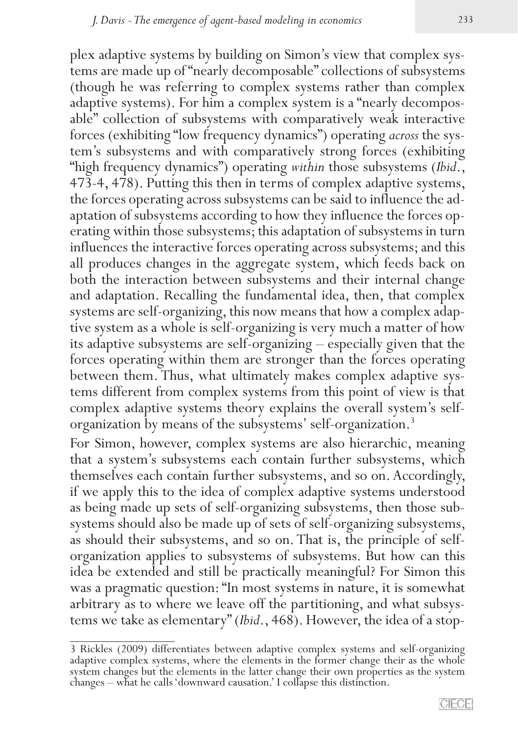plex adaptive systems by building on Simon's view that complex sys- tems are made up of "nearly decomposable" collections of subsystems (though he was referring to complex systems rather than complex adaptive systems). For him a complex system is a "nearly decomposable" collection of subsystems with comparatively weak interactive forces (exhibiting "low frequency dynamics") operating *across* the system's subsystems and with comparatively strong forces (exhibiting "high frequency dynamics") operating *within* those subsystems (*Ibid*., 473-4, 478). Putting this then in terms of complex adaptive systems, the forces operating across subsystems can be said to influence the adaptation of subsystems according to how they influence the forces operating within those subsystems; this adaptation of subsystems in turn influences the interactive forces operating across subsystems; and this all produces changes in the aggregate system, which feeds back on both the interaction between subsystems and their internal change and adaptation. Recalling the fundamental idea, then, that complex systems are self-organizing, this now means that how a complex adaptive system as a whole is self-organizing is very much a matter of how its adaptive subsystems are self-organizing – especially given that the forces operating within them are stronger than the forces operating between them. Thus, what ultimately makes complex adaptive sys- tems different from complex systems from this point of view is that complex adaptive systems theory explains the overall system's selforganization by means of the subsystems' self-organization.3

For Simon, however, complex systems are also hierarchic, meaning that a system's subsystems each contain further subsystems, which themselves each contain further subsystems, and so on. Accordingly, if we apply this to the idea of complex adaptive systems understood as being made up sets of self-organizing subsystems, then those subsystems should also be made up of sets of self-organizing subsystems, as should their subsystems, and so on. That is, the principle of selforganization applies to subsystems of subsystems. But how can this idea be extended and still be practically meaningful? For Simon this was a pragmatic question: "In most systems in nature, it is somewhat arbitrary as to where we leave off the partitioning, and what subsys- tems we take as elementary" (*Ibid*., 468). However, the idea of a stop-

<sup>3</sup> Rickles (2009) differentiates between adaptive complex systems and self-organizing adaptive complex systems, where the elements in the former change their as the whole system changes but the elements in the latter change their own properties as the system changes – what he calls 'downward causation.' I collapse this distinction.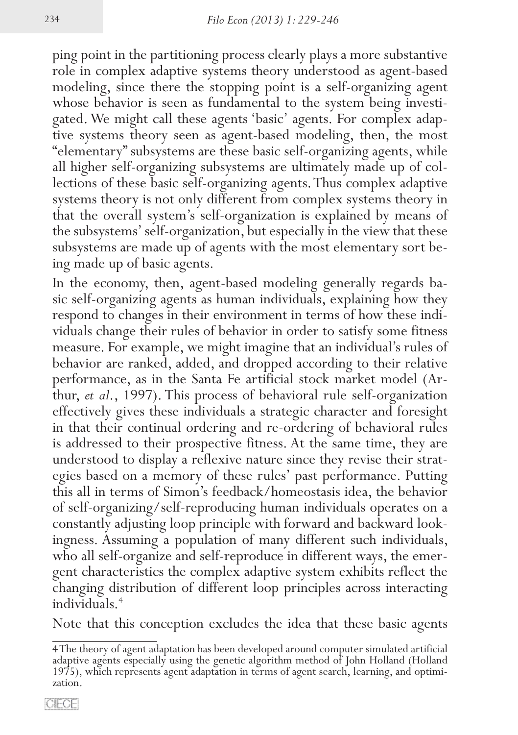ping point in the partitioning process clearly plays a more substantive role in complex adaptive systems theory understood as agent-based modeling, since there the stopping point is a self-organizing agent whose behavior is seen as fundamental to the system being investigated. We might call these agents 'basic' agents. For complex adaptive systems theory seen as agent-based modeling, then, the most "elementary" subsystems are these basic self-organizing agents, while all higher self-organizing subsystems are ultimately made up of collections of these basic self-organizing agents. Thus complex adaptive systems theory is not only different from complex systems theory in that the overall system's self-organization is explained by means of the subsystems' self-organization, but especially in the view that these subsystems are made up of agents with the most elementary sort be- ing made up of basic agents.

In the economy, then, agent-based modeling generally regards ba-<br>sic self-organizing agents as human individuals, explaining how they<br>respond to changes in their environment in terms of how these individuals change their rules of behavior in order to satisfy some fitness measure. For example, we might imagine that an individual's rules of behavior are ranked, added, and dropped according to their relative performance, as in the Santa Fe artificial stock market model (Ar- thur, *et al*., 1997). This process of behavioral rule self-organization effectively gives these individuals a strategic character and foresight in that their continual ordering and re-ordering of behavioral rules is addressed to their prospective fitness. At the same time, they are understood to display a reflexive nature since they revise their strategies based on a memory of these rules' past performance. Putting this all in terms of Simon's feedback/homeostasis idea, the behavior of self-organizing/self-reproducing human individuals operates on a constantly adjusting loop principle with forward and backward look- ingness. Assuming a population of many different such individuals, who all self-organize and self-reproduce in different ways, the emer- gent characteristics the complex adaptive system exhibits reflect the changing distribution of different loop principles across interacting individuals.4

Note that this conception excludes the idea that these basic agents

<sup>4</sup> The theory of agent adaptation has been developed around computer simulated artificial adaptive agents especially using the genetic algorithm method of John Holland (Holland 1975), which represents agent adaptation in terms of agent search, learning, and optimi- zation.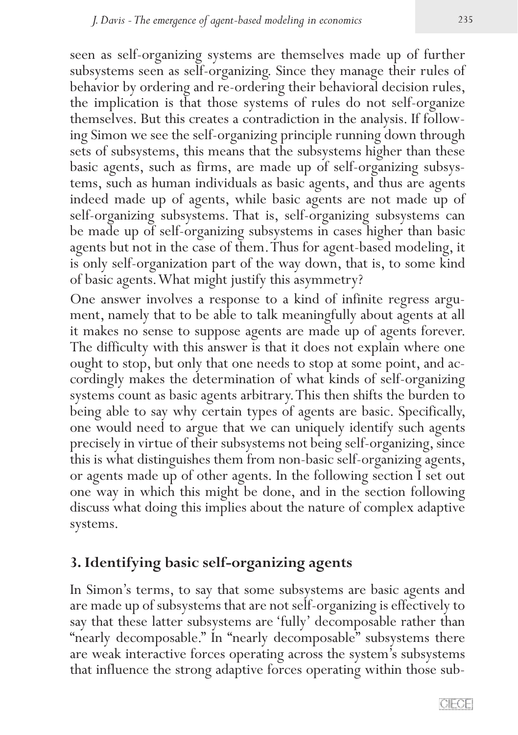seen as self-organizing systems are themselves made up of further subsystems seen as self-organizing. Since they manage their rules of behavior by ordering and re-ordering their behavioral decision rules, the implication is that those systems of rules do not self-organize themselves. But this creates a contradiction in the analysis. If following Simon we see the self-organizing principle running down through sets of subsystems, this means that the subsystems higher than these basic agents, such as firms, are made up of self-organizing subsystems, such as human individuals as basic agents, and thus are agents indeed made up of agents, while basic agents are not made up of self-organizing subsystems. That is, self-organizing subsystems can be made up of self-organizing subsystems in cases higher than basic agents but not in the case of them. Thus for agent-based modeling, it is only self-organization part of the way down, that is, to some kind of basic agents. What might justify this asymmetry?

One answer involves a response to a kind of infinite regress argu- ment, namely that to be able to talk meaningfully about agents at all it makes no sense to suppose agents are made up of agents forever. The difficulty with this answer is that it does not explain where one ought to stop, but only that one needs to stop at some point, and ac- cordingly makes the determination of what kinds of self-organizing systems count as basic agents arbitrary. This then shifts the burden to being able to say why certain types of agents are basic. Specifically, one would need to argue that we can uniquely identify such agents precisely in virtue of their subsystems not being self-organizing, since this is what distinguishes them from non-basic self-organizing agents, or agents made up of other agents. In the following section I set out one way in which this might be done, and in the section following discuss what doing this implies about the nature of complex adaptive systems.

# **3. Identifying basic self-organizing agents**

In Simon's terms, to say that some subsystems are basic agents and are made up of subsystems that are not self-organizing is effectively to say that these latter subsystems are 'fully' decomposable rather than "nearly decomposable." In "nearly decomposable" subsystems there are weak interactive forces operating across the system's subsystems that influence the strong adaptive forces operating within those sub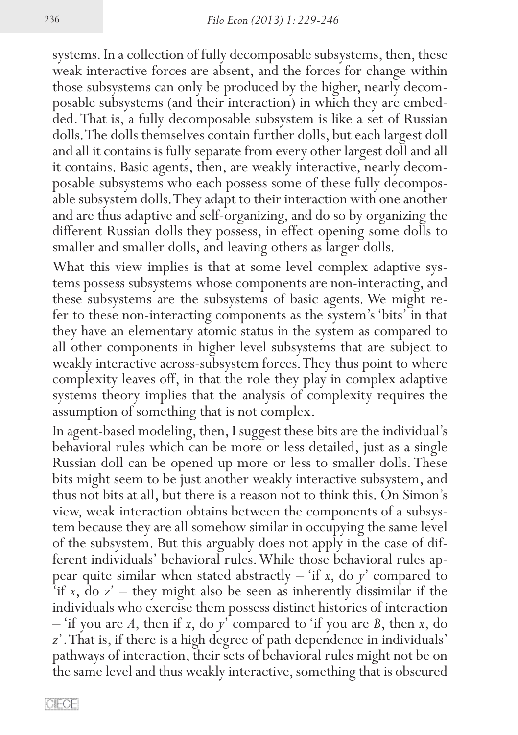systems. In a collection of fully decomposable subsystems, then, these weak interactive forces are absent, and the forces for change within those subsystems can only be produced by the higher, nearly decomposable subsystems (and their interaction) in which they are embedded. That is, a fully decomposable subsystem is like a set of Russian dolls. The dolls themselves contain further dolls, but each largest doll and all it contains is fully separate from every other largest doll and all it contains. Basic agents, then, are weakly interactive, nearly decomposable subsystems who each possess some of these fully decomposable subsystem dolls. They adapt to their interaction with one another and are thus adaptive and self-organizing, and do so by organizing the different Russian dolls they possess, in effect opening some dolls to smaller and smaller dolls, and leaving others as larger dolls.

What this view implies is that at some level complex adaptive systems possess subsystems whose components are non-interacting, and these subsystems are the subsystems of basic agents. We might refer to these non-interacting components as the system's 'bits' in that they have an elementary atomic status in the system as compared to all other components in higher level subsystems that are subject to weakly interactive across-subsystem forces. They thus point to where complexity leaves off, in that the role they play in complex adaptive systems theory implies that the analysis of complexity requires the assumption of something that is not complex.

In agent-based modeling, then, I suggest these bits are the individual's behavioral rules which can be more or less detailed, just as a single Russian doll can be opened up more or less to smaller dolls. These bits might seem to be just another weakly interactive subsystem, and thus not bits at all, but there is a reason not to think this. On Simon's view, weak interaction obtains between the components of a subsys- tem because they are all somehow similar in occupying the same level of the subsystem. But this arguably does not apply in the case of different individuals' behavioral rules. While those behavioral rules appear quite similar when stated abstractly – 'if *x*, do *y*' compared to 'if *x*, do *z*' – they might also be seen as inherently dissimilar if the individuals who exercise them possess distinct histories of interaction – 'if you are *A*, then if *x*, do *y*' compared to 'if you are *B*, then *x*, do *z*'. That is, if there is a high degree of path dependence in individuals' pathways of interaction, their sets of behavioral rules might not be on the same level and thus weakly interactive, something that is obscured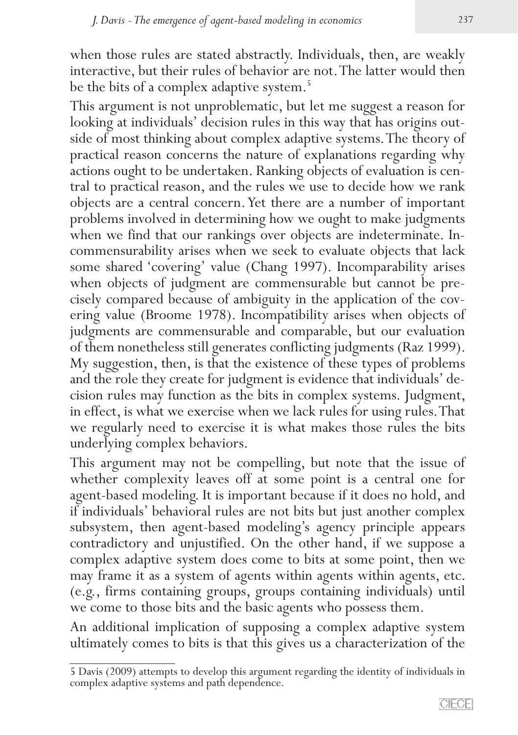when those rules are stated abstractly. Individuals, then, are weakly interactive, but their rules of behavior are not. The latter would then be the bits of a complex adaptive system.<sup>5</sup>

This argument is not unproblematic, but let me suggest a reason for looking at individuals' decision rules in this way that has origins out-<br>side of most thinking about complex adaptive systems. The theory of practical reason concerns the nature of explanations regarding why actions ought to be undertaken. Ranking objects of evaluation is central to practical reason, and the rules we use to decide how we rank objects are a central concern. Yet there are a number of important problems involved in determining how we ought to make judgments when we find that our rankings over objects are indeterminate. In- commensurability arises when we seek to evaluate objects that lack some shared 'covering' value (Chang 1997). Incomparability arises when objects of judgment are commensurable but cannot be precisely compared because of ambiguity in the application of the covering value (Broome 1978). Incompatibility arises when objects of judgments are commensurable and comparable, but our evaluation of them nonetheless still generates conflicting judgments (Raz 1999). My suggestion, then, is that the existence of these types of problems and the role they create for judgment is evidence that individuals' de- cision rules may function as the bits in complex systems. Judgment, in effect, is what we exercise when we lack rules for using rules. That we regularly need to exercise it is what makes those rules the bits underlying complex behaviors.

This argument may not be compelling, but note that the issue of whether complexity leaves off at some point is a central one for agent-based modeling. It is important because if it does no hold, and if individuals' behavioral rules are not bits but just another complex subsystem, then agent-based modeling's agency principle appears contradictory and unjustified. On the other hand, if we suppose a complex adaptive system does come to bits at some point, then we may frame it as a system of agents within agents within agents, etc. (e.g., firms containing groups, groups containing individuals) until we come to those bits and the basic agents who possess them.

An additional implication of supposing a complex adaptive system ultimately comes to bits is that this gives us a characterization of the

<sup>5</sup> Davis (2009) attempts to develop this argument regarding the identity of individuals in complex adaptive systems and path dependence.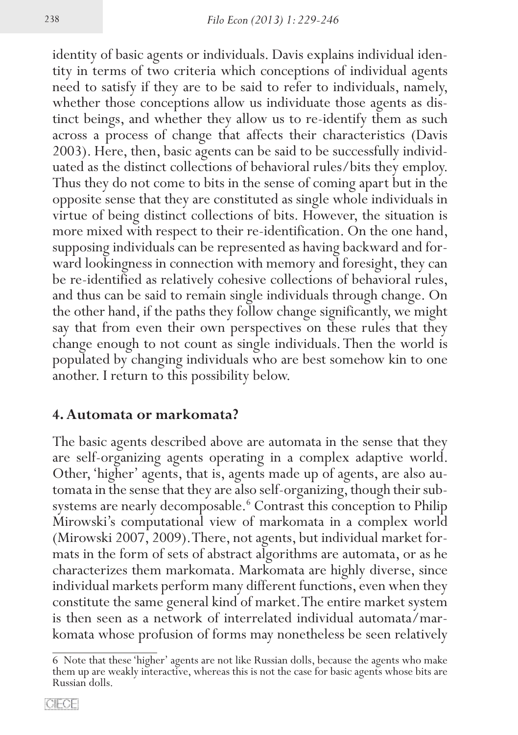identity of basic agents or individuals. Davis explains individual identity in terms of two criteria which conceptions of individual agents need to satisfy if they are to be said to refer to individuals, namely, whether those conceptions allow us individuate those agents as distinct beings, and whether they allow us to re-identify them as such across a process of change that affects their characteristics (Davis 2003). Here, then, basic agents can be said to be successfully individuated as the distinct collections of behavioral rules/bits they employ. Thus they do not come to bits in the sense of coming apart but in the opposite sense that they are constituted as single whole individuals in virtue of being distinct collections of bits. However, the situation is more mixed with respect to their re-identification. On the one hand, supposing individuals can be represented as having backward and for- ward lookingness in connection with memory and foresight, they can be re-identified as relatively cohesive collections of behavioral rules, and thus can be said to remain single individuals through change. On the other hand, if the paths they follow change significantly, we might say that from even their own perspectives on these rules that they change enough to not count as single individuals. Then the world is populated by changing individuals who are best somehow kin to one another. I return to this possibility below.

#### **4. Automata or markomata?**

The basic agents described above are automata in the sense that they are self-organizing agents operating in a complex adaptive world. Other, 'higher' agents, that is, agents made up of agents, are also automata in the sense that they are also self-organizing, though their subsystems are nearly decomposable.<sup>6</sup> Contrast this conception to Philip Mirowski's computational view of markomata in a complex world (Mirowski 2007, 2009). There, not agents, but individual market formats in the form of sets of abstract algorithms are automata, or as he characterizes them markomata. Markomata are highly diverse, since individual markets perform many different functions, even when they constitute the same general kind of market. The entire market system is then seen as a network of interrelated individual automata/markomata whose profusion of forms may nonetheless be seen relatively

<sup>6</sup> Note that these 'higher' agents are not like Russian dolls, because the agents who make them up are weakly interactive, whereas this is not the case for basic agents whose bits are Russian dolls.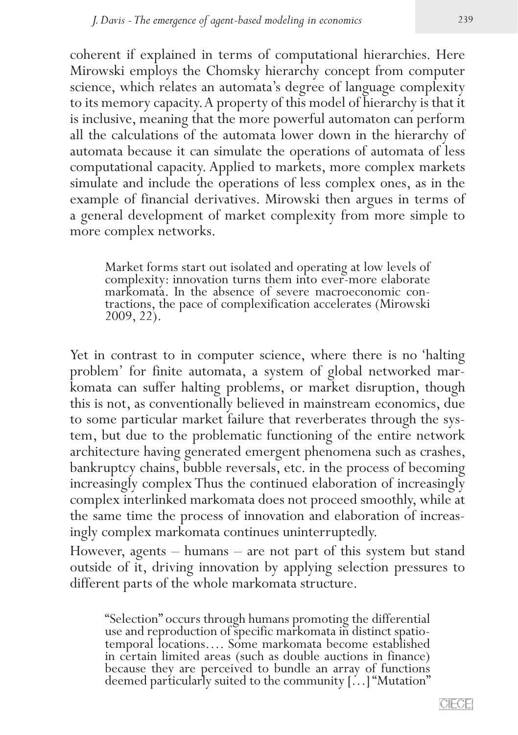coherent if explained in terms of computational hierarchies. Here Mirowski employs the Chomsky hierarchy concept from computer science, which relates an automata's degree of language complexity to its memory capacity. A property of this model of hierarchy is that it is inclusive, meaning that the more powerful automaton can perform all the calculations of the automata lower down in the hierarchy of automata because it can simulate the operations of automata of less computational capacity. Applied to markets, more complex markets simulate and include the operations of less complex ones, as in the example of financial derivatives. Mirowski then argues in terms of a general development of market complexity from more simple to more complex networks.

Market forms start out isolated and operating at low levels of complexity: innovation turns them into ever-more elaborate tractions, the pace of complexification accelerates (Mirowski) 2009, 22).

Yet in contrast to in computer science, where there is no 'halting<br>problem' for finite automata, a system of global networked markomata can suffer halting problems, or market disruption, though this is not, as conventionally believed in mainstream economics, due to some particular market failure that reverberates through the sys- tem, but due to the problematic functioning of the entire network architecture having generated emergent phenomena such as crashes, bankruptcy chains, bubble reversals, etc. in the process of becoming increasingly complex Thus the continued elaboration of increasingly complex interlinked markomata does not proceed smoothly, while at the same time the process of innovation and elaboration of increas- ingly complex markomata continues uninterruptedly.

However, agents – humans – are not part of this system but stand outside of it, driving innovation by applying selection pressures to different parts of the whole markomata structure.

"Selection" occurs through humans promoting the differential use and reproduction of specific markomata in distinct spatio- temporal locations…. Some markomata become established in certain limited areas (such as double auctions in finance) because they are perceived to bundle an array of functions deemed particularly suited to the community […] "Mutation"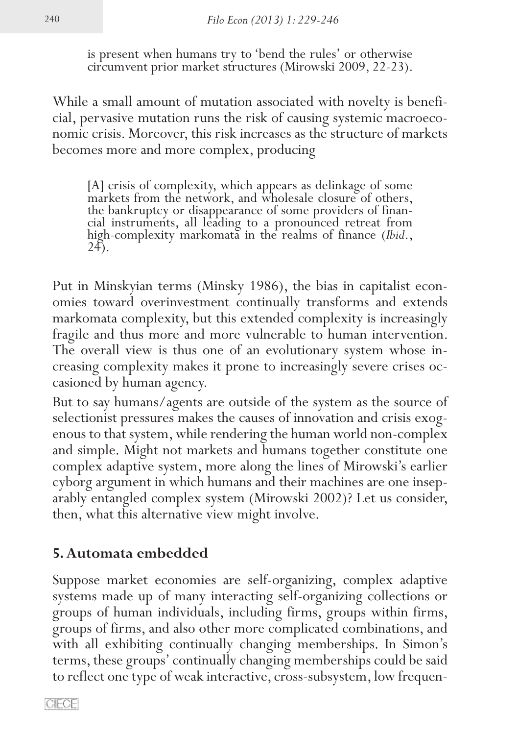is present when humans try to 'bend the rules' or otherwise circumvent prior market structures (Mirowski 2009, 22-23).

While a small amount of mutation associated with novelty is beneficial, pervasive mutation runs the risk of causing systemic macroeco-<br>nomic crisis. Moreover, this risk increases as the structure of markets becomes more and more complex, producing

[A] crisis of complexity, which appears as delinkage of some markets from the network, and wholesale closure of others, the bankruptcy or disappearance of some providers of finan- cial instruments, all leading to a pronounced retreat from high-complexity markomata in the realms of finance (*Ibid.*, 24).

Put in Minskyian terms (Minsky 1986), the bias in capitalist econ- omies toward overinvestment continually transforms and extends markomata complexity, but this extended complexity is increasingly fragile and thus more and more vulnerable to human intervention. The overall view is thus one of an evolutionary system whose increasing complexity makes it prone to increasingly severe crises occasioned by human agency.

But to say humans/agents are outside of the system as the source of selectionist pressures makes the causes of innovation and crisis exog- enous to that system, while rendering the human world non-complex and simple. Might not markets and humans together constitute one complex adaptive system, more along the lines of Mirowski's earlier cyborg argument in which humans and their machines are one insep- arably entangled complex system (Mirowski 2002)? Let us consider, then, what this alternative view might involve.

# **5. Automata embedded**

Suppose market economies are self-organizing, complex adaptive systems made up of many interacting self-organizing collections or groups of human individuals, including firms, groups within firms, groups of firms, and also other more complicated combinations, and with all exhibiting continually changing memberships. In Simon's terms, these groups' continually changing memberships could be said to reflect one type of weak interactive, cross-subsystem, low frequen-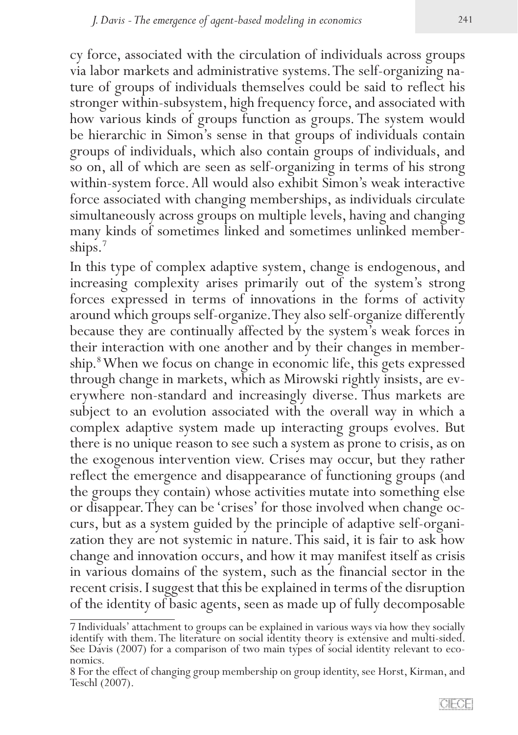cy force, associated with the circulation of individuals across groups via labor markets and administrative systems. The self-organizing nature of groups of individuals themselves could be said to reflect his stronger within-subsystem, high frequency force, and associated with how various kinds of groups function as groups. The system would be hierarchic in Simon's sense in that groups of individuals contain groups of individuals, which also contain groups of individuals, and so on, all of which are seen as self-organizing in terms of his strong within-system force. All would also exhibit Simon's weak interactive force associated with changing memberships, as individuals circulate simultaneously across groups on multiple levels, having and changing many kinds of sometimes linked and sometimes unlinked member-ships.<sup>7</sup>

In this type of complex adaptive system, change is endogenous, and increasing complexity arises primarily out of the system's strong forces expressed in terms of innovations in the forms of activity around which groups self-organize. They also self-organize differently because they are continually affected by the system's weak forces in their interaction with one another and by their changes in membership.<sup>8</sup> When we focus on change in economic life, this gets expressed through change in markets, which as Mirowski rightly insists, are ev- erywhere non-standard and increasingly diverse. Thus markets are subject to an evolution associated with the overall way in which a complex adaptive system made up interacting groups evolves. But there is no unique reason to see such a system as prone to crisis, as on the exogenous intervention view. Crises may occur, but they rather reflect the emergence and disappearance of functioning groups (and the groups they contain) whose activities mutate into something else or disappear. They can be 'crises' for those involved when change occurs, but as a system guided by the principle of adaptive self-organization they are not systemic in nature. This said, it is fair to ask how change and innovation occurs, and how it may manifest itself as crisis in various domains of the system, such as the financial sector in the recent crisis. I suggest that this be explained in terms of the disruption of the identity of basic agents, seen as made up of fully decomposable

<sup>7</sup> Individuals' attachment to groups can be explained in various ways via how they socially identify with them. The literature on social identity theory is extensive and multi-sided. See Davis (2007) for a comparison of two main types of social identity relevant to eco-<br>nomics.

<sup>8</sup> For the effect of changing group membership on group identity, see Horst, Kirman, and Teschl (2007).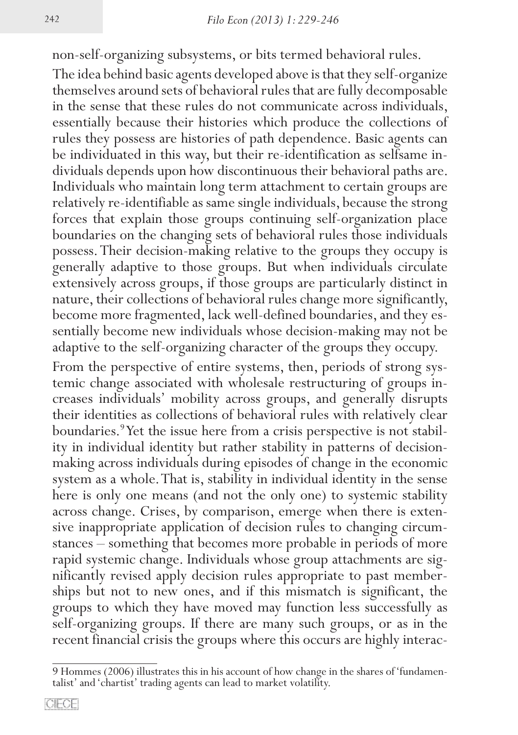non-self-organizing subsystems, or bits termed behavioral rules.

The idea behind basic agents developed above is that they self-organize themselves around sets of behavioral rules that are fully decomposable in the sense that these rules do not communicate across individuals, essentially because their histories which produce the collections of rules they possess are histories of path dependence. Basic agents can be individuated in this way, but their re-identification as selfsame individuals depends upon how discontinuous their behavioral paths are. Individuals who maintain long term attachment to certain groups are relatively re-identifiable as same single individuals, because the strong forces that explain those groups continuing self-organization place boundaries on the changing sets of behavioral rules those individuals possess. Their decision-making relative to the groups they occupy is generally adaptive to those groups. But when individuals circulate extensively across groups, if those groups are particularly distinct in nature, their collections of behavioral rules change more significantly, become more fragmented, lack well-defined boundaries, and they es- sentially become new individuals whose decision-making may not be adaptive to the self-organizing character of the groups they occupy.

From the perspective of entire systems, then, periods of strong systemic change associated with wholesale restructuring of groups increases individuals' mobility across groups, and generally disrupts their identities as collections of behavioral rules with relatively clear boundaries.9 Yet the issue here from a crisis perspective is not stability in individual identity but rather stability in patterns of decisionmaking across individuals during episodes of change in the economic system as a whole. That is, stability in individual identity in the sense here is only one means (and not the only one) to systemic stability across change. Crises, by comparison, emerge when there is exten-<br>sive inappropriate application of decision rules to changing circum-<br>stances – something that becomes more probable in periods of more rapid systemic change. Individuals whose group attachments are significantly revised apply decision rules appropriate to past memberships but not to new ones, and if this mismatch is significant, the groups to which they have moved may function less successfully as self-organizing groups. If there are many such groups, or as in the recent financial crisis the groups where this occurs are highly interac-

<sup>9</sup> Hommes (2006) illustrates this in his account of how change in the shares of 'fundamen- talist' and 'chartist' trading agents can lead to market volatility.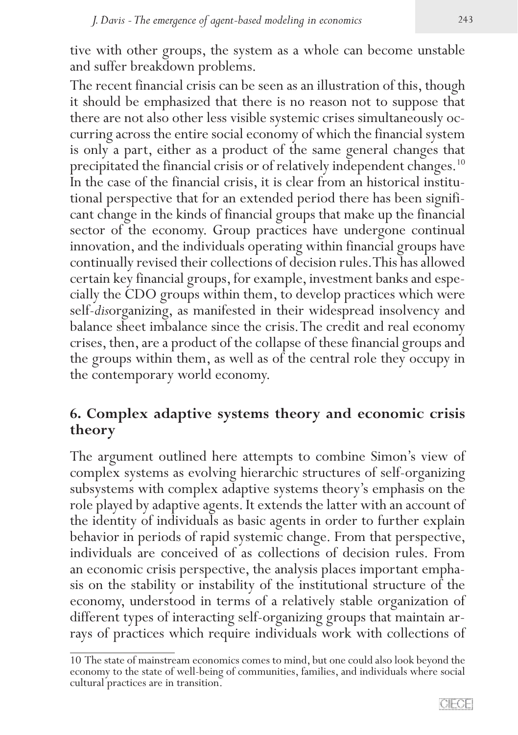tive with other groups, the system as a whole can become unstable and suffer breakdown problems.

The recent financial crisis can be seen as an illustration of this, though it should be emphasized that there is no reason not to suppose that there are not also other less visible systemic crises simultaneously occurring across the entire social economy of which the financial system is only a part, either as a product of the same general changes that precipitated the financial crisis or of relatively independent changes.<sup>10</sup> In the case of the financial crisis, it is clear from an historical institutional perspective that for an extended period there has been significant change in the kinds of financial groups that make up the financial sector of the economy. Group practices have undergone continual innovation, and the individuals operating within financial groups have continually revised their collections of decision rules. This has allowed cially the CDO groups within them, to develop practices which were self-*dis*organizing, as manifested in their widespread insolvency and balance sheet imbalance since the crisis. The credit and real economy crises, then, are a product of the collapse of these financial groups and the groups within them, as well as of the central role they occupy in the contemporary world economy.

# **6. Complex adaptive systems theory and economic crisis theory**

The argument outlined here attempts to combine Simon's view of complex systems as evolving hierarchic structures of self-organizing subsystems with complex adaptive systems theory's emphasis on the role played by adaptive agents. It extends the latter with an account of the identity of individuals as basic agents in order to further explain behavior in periods of rapid systemic change. From that perspective, individuals are conceived of as collections of decision rules. From an economic crisis perspective, the analysis places important emphasis on the stability or instability of the institutional structure of the economy, understood in terms of a relatively stable organization of different types of interacting self-organizing groups that maintain ar- rays of practices which require individuals work with collections of

<sup>10</sup> The state of mainstream economics comes to mind, but one could also look beyond the economy to the state of well-being of communities, families, and individuals where social cultural practices are in transition.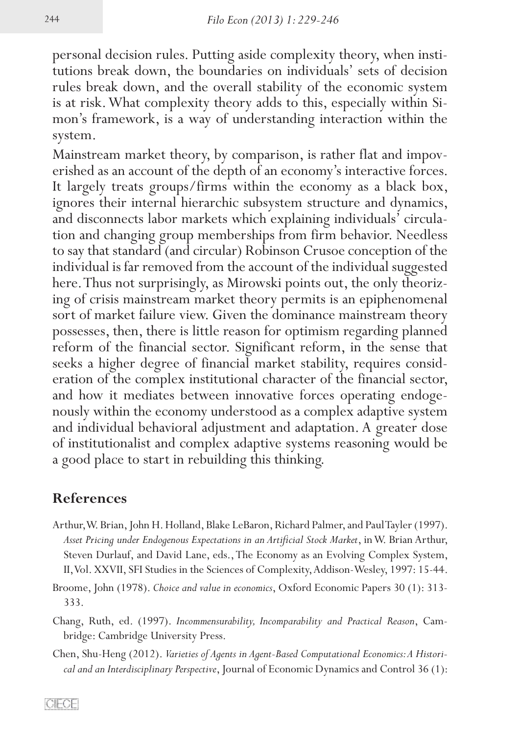personal decision rules. Putting aside complexity theory, when institutions break down, the boundaries on individuals' sets of decision rules break down, and the overall stability of the economic system is at risk. What complexity theory adds to this, especially within Simon's framework, is a way of understanding interaction within the system.

Mainstream market theory, by comparison, is rather flat and impoverished as an account of the depth of an economy's interactive forces. It largely treats groups/firms within the economy as a black box, ignores their internal hierarchic subsystem structure and dynamics, and disconnects labor markets which explaining individuals' circula- tion and changing group memberships from firm behavior. Needless to say that standard (and circular) Robinson Crusoe conception of the individual is far removed from the account of the individual suggested here. Thus not surprisingly, as Mirowski points out, the only theoriz- ing of crisis mainstream market theory permits is an epiphenomenal sort of market failure view. Given the dominance mainstream theory possesses, then, there is little reason for optimism regarding planned reform of the financial sector. Significant reform, in the sense that seeks a higher degree of financial market stability, requires consideration of the complex institutional character of the financial sector, and how it mediates between innovative forces operating endoge- nously within the economy understood as a complex adaptive system and individual behavioral adjustment and adaptation. A greater dose of institutionalist and complex adaptive systems reasoning would be a good place to start in rebuilding this thinking.

# **References**

- Arthur, W. Brian, John H. Holland, Blake LeBaron, Richard Palmer, and Paul Tayler (1997). *Asset Pricing under Endogenous Expectations in an Artificial Stock Market*, in W. Brian Arthur, Steven Durlauf, and David Lane, eds., The Economy as an Evolving Complex System, II, Vol. XXVII, SFI Studies in the Sciences of Complexity, Addison-Wesley, 1997: 15-44.
- Broome, John (1978). *Choice and value in economics*, Oxford Economic Papers 30 (1): 313- 333.
- Chang, Ruth, ed. (1997). *Incommensurability, Incomparability and Practical Reason*, Cambridge: Cambridge University Press.
- Chen, Shu-Heng (2012). *Varieties of Agents in Agent-Based Computational Economics: A Historical and an Interdisciplinary Perspective*, Journal of Economic Dynamics and Control 36 (1):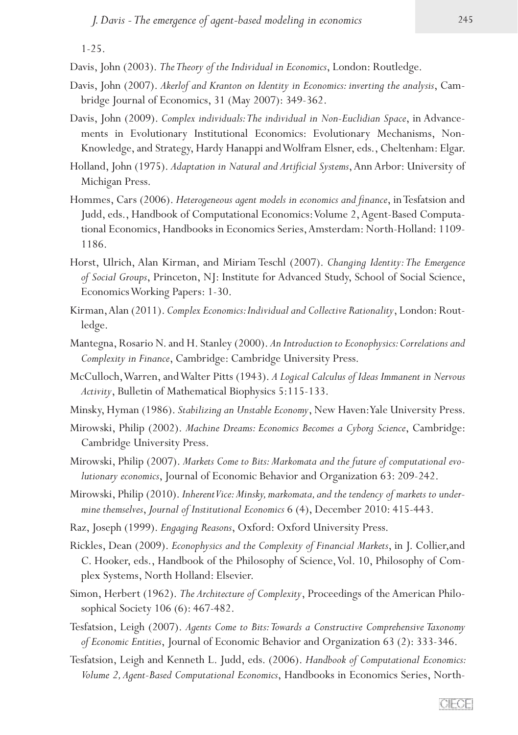1-25.

Davis, John (2003). *The Theory of the Individual in Economics*, London: Routledge.

- Davis, John (2007). *Akerlof and Kranton on Identity in Economics: inverting the analysis*, Cambridge Journal of Economics, 31 (May 2007): 349-362.
- Davis, John (2009). *Complex individuals: The individual in Non-Euclidian Space*, in Advancements in Evolutionary Institutional Economics: Evolutionary Mechanisms, Non-Knowledge, and Strategy, Hardy Hanappi and Wolfram Elsner, eds., Cheltenham: Elgar.
- Holland, John (1975). *Adaptation in Natural and Artificial Systems*, Ann Arbor: University of Michigan Press.
- Hommes, Cars (2006). *Heterogeneous agent models in economics and finance*, in Tesfatsion and Judd, eds., Handbook of Computational Economics: Volume 2, Agent-Based Computational Economics, Handbooks in Economics Series, Amsterdam: North-Holland: 1109- 1186.
- Horst, Ulrich, Alan Kirman, and Miriam Teschl (2007). *Changing Identity: The Emergence of Social Groups*, Princeton, NJ: Institute for Advanced Study, School of Social Science, Economics Working Papers: 1-30.
- Kirman, Alan (2011). *Complex Economics: Individual and Collective Rationality*, London: Routledge.
- Mantegna, Rosario N. and H. Stanley (2000). *An Introduction to Econophysics: Correlations and Complexity in Finance*, Cambridge: Cambridge University Press.
- McCulloch, Warren, and Walter Pitts (1943). *A Logical Calculus of Ideas Immanent in Nervous Activity*, Bulletin of Mathematical Biophysics 5:115-133.
- Minsky, Hyman (1986). *Stabilizing an Unstable Economy*, New Haven: Yale University Press.
- Mirowski, Philip (2002). *Machine Dreams: Economics Becomes a Cyborg Science*, Cambridge: Cambridge University Press.
- Mirowski, Philip (2007). *Markets Come to Bits: Markomata and the future of computational evolutionary economics*, Journal of Economic Behavior and Organization 63: 209-242.
- Mirowski, Philip (2010). *Inherent Vice: Minsky, markomata, and the tendency of markets to undermine themselves*, *Journal of Institutional Economics* 6 (4), December 2010: 415-443.
- Raz, Joseph (1999). *Engaging Reasons*, Oxford: Oxford University Press.
- Rickles, Dean (2009). *Econophysics and the Complexity of Financial Markets*, in J. Collier,and C. Hooker, eds., Handbook of the Philosophy of Science, Vol. 10, Philosophy of Complex Systems, North Holland: Elsevier.
- Simon, Herbert (1962). *The Architecture of Complexity*, Proceedings of the American Philosophical Society 106 (6): 467-482.
- Tesfatsion, Leigh (2007). *Agents Come to Bits: Towards a Constructive Comprehensive Taxonomy of Economic Entities*, Journal of Economic Behavior and Organization 63 (2): 333-346.
- Tesfatsion, Leigh and Kenneth L. Judd, eds. (2006). *Handbook of Computational Economics: Volume 2, Agent-Based Computational Economics*, Handbooks in Economics Series, North-